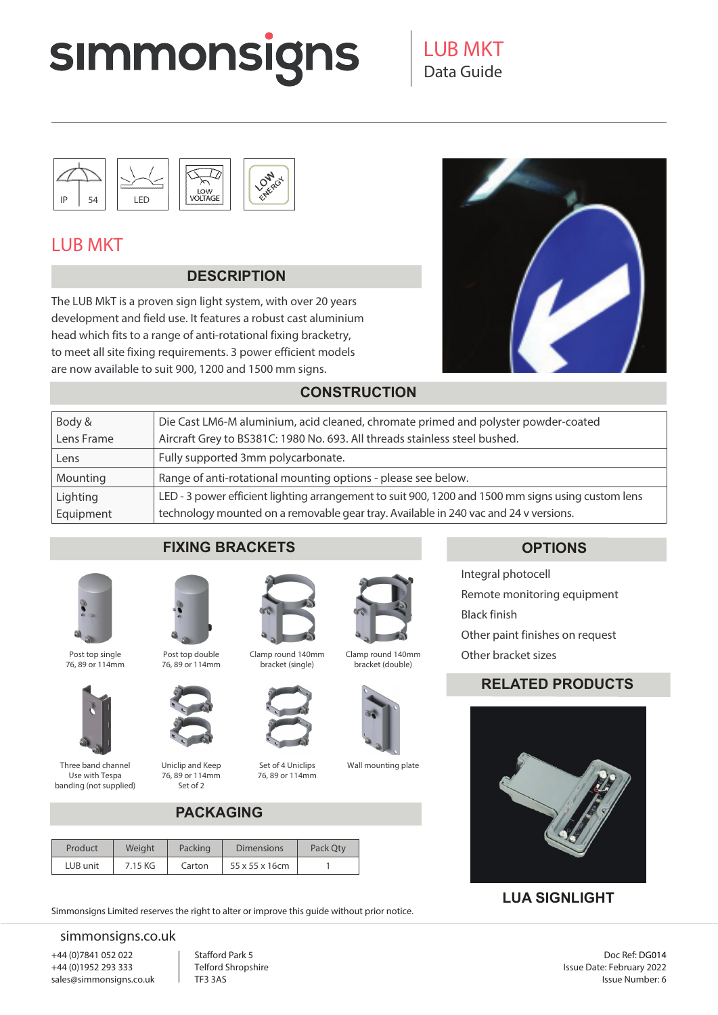# **SIMMONSIGNS**



# 010 ENFROY

## LUB MKT

#### **DESCRIPTION**

The LUB MkT is a proven sign light system, with over 20 years development and field use. It features a robust cast aluminium head which fits to a range of anti-rotational fixing bracketry, to meet all site fixing requirements. 3 power efficient models are now available to suit 900, 1200 and 1500 mm signs.



#### **CONSTRUCTION**

| Body &     | Die Cast LM6-M aluminium, acid cleaned, chromate primed and polyster powder-coated                 |
|------------|----------------------------------------------------------------------------------------------------|
| Lens Frame | Aircraft Grey to BS381C: 1980 No. 693. All threads stainless steel bushed.                         |
| Lens       | Fully supported 3mm polycarbonate.                                                                 |
| Mounting   | Range of anti-rotational mounting options - please see below.                                      |
| Lighting   | LED - 3 power efficient lighting arrangement to suit 900, 1200 and 1500 mm signs using custom lens |
| Equipment  | technology mounted on a removable gear tray. Available in 240 vac and 24 v versions.               |

### **FIXING BRACKETS OPTIONS**



Post top single 76, 89 or 114mm



Three band channel Use with Tespa banding (not supplied)



Post top double 76, 89 or 114mm



Uniclip and Keep 76, 89 or 114mm Set of 2



bracket (single)



Set of 4 Uniclips 76, 89 or 114mm



Clamp round 140mm bracket (double)



Wall mounting plate

Integral photocell Remote monitoring equipment Black finish Other paint finishes on request Other bracket sizes

### **RELATED PRODUCTS**



### **LUA SIGNLIGHT**

### **PACKAGING**

| Product  | Weight  | Packing | <b>Dimensions</b> | Pack Qty |
|----------|---------|---------|-------------------|----------|
| LUB unit | 7.15 KG | Carton  | 55 x 55 x 16cm    |          |

Simmonsigns Limited reserves the right to alter or improve this guide without prior notice.

#### simmonsigns.co.uk

+44 (0)7841 052 022 +44 (0)1952 293 333 sales@simmonsigns.co.uk Stafford Park 5 Telford Shropshire TF3 3AS